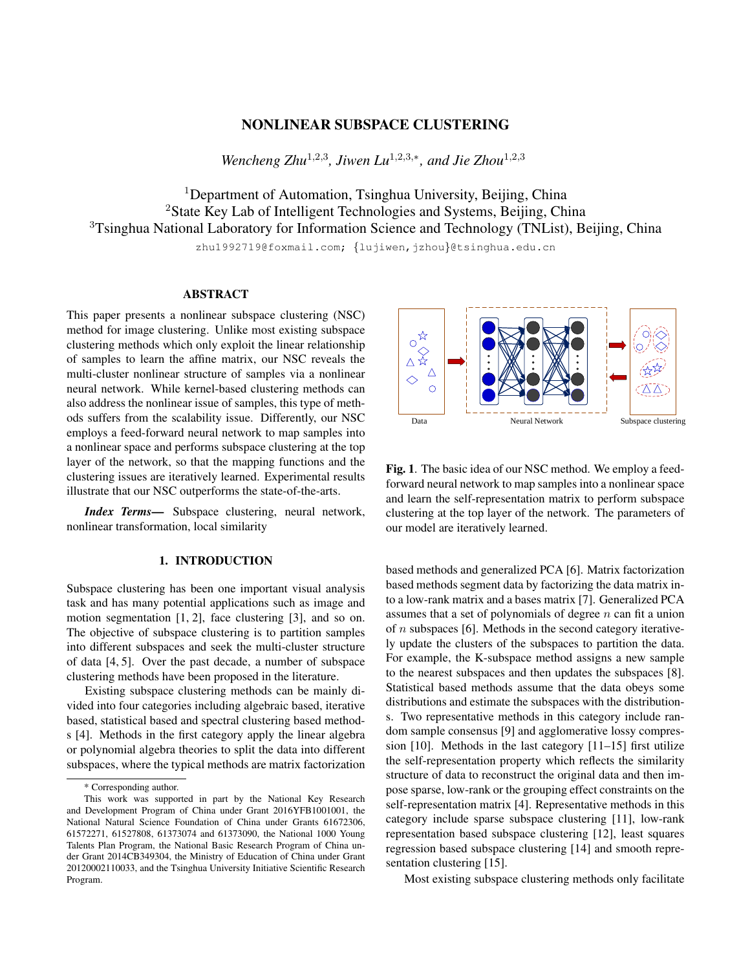# NONLINEAR SUBSPACE CLUSTERING

*Wencheng Zhu*<sup>1,2,3</sup>, *Jiwen Lu*<sup>1,2,3,∗</sup>, and *Jie Zhou*<sup>1,2,3</sup>

<sup>1</sup>Department of Automation, Tsinghua University, Beijing, China <sup>2</sup>State Key Lab of Intelligent Technologies and Systems, Beijing, China <sup>3</sup>Tsinghua National Laboratory for Information Science and Technology (TNList), Beijing, China

zhu1992719@foxmail.com; {lujiwen,jzhou}@tsinghua.edu.cn

## ABSTRACT

This paper presents a nonlinear subspace clustering (NSC) method for image clustering. Unlike most existing subspace clustering methods which only exploit the linear relationship of samples to learn the affine matrix, our NSC reveals the multi-cluster nonlinear structure of samples via a nonlinear neural network. While kernel-based clustering methods can also address the nonlinear issue of samples, this type of methods suffers from the scalability issue. Differently, our NSC employs a feed-forward neural network to map samples into a nonlinear space and performs subspace clustering at the top layer of the network, so that the mapping functions and the clustering issues are iteratively learned. Experimental results illustrate that our NSC outperforms the state-of-the-arts.

*Index Terms*— Subspace clustering, neural network, nonlinear transformation, local similarity

## 1. INTRODUCTION

Subspace clustering has been one important visual analysis task and has many potential applications such as image and motion segmentation [1, 2], face clustering [3], and so on. The objective of subspace clustering is to partition samples into different subspaces and seek the multi-cluster structure of data [4, 5]. Over the past decade, a number of subspace clustering methods have been proposed in the literature.

Existing subspace clustering methods can be mainly divided into four categories including algebraic based, iterative based, statistical based and spectral clustering based methods [4]. Methods in the first category apply the linear algebra or polynomial algebra theories to split the data into different subspaces, where the typical methods are matrix factorization



Fig. 1. The basic idea of our NSC method. We employ a feedforward neural network to map samples into a nonlinear space and learn the self-representation matrix to perform subspace clustering at the top layer of the network. The parameters of our model are iteratively learned.

based methods and generalized PCA [6]. Matrix factorization based methods segment data by factorizing the data matrix into a low-rank matrix and a bases matrix [7]. Generalized PCA assumes that a set of polynomials of degree  $n$  can fit a union of  $n$  subspaces [6]. Methods in the second category iteratively update the clusters of the subspaces to partition the data. For example, the K-subspace method assigns a new sample to the nearest subspaces and then updates the subspaces [8]. Statistical based methods assume that the data obeys some distributions and estimate the subspaces with the distributions. Two representative methods in this category include random sample consensus [9] and agglomerative lossy compression [10]. Methods in the last category [11–15] first utilize the self-representation property which reflects the similarity structure of data to reconstruct the original data and then impose sparse, low-rank or the grouping effect constraints on the self-representation matrix [4]. Representative methods in this category include sparse subspace clustering [11], low-rank representation based subspace clustering [12], least squares regression based subspace clustering [14] and smooth representation clustering [15].

Most existing subspace clustering methods only facilitate

<sup>\*</sup> Corresponding author.

This work was supported in part by the National Key Research and Development Program of China under Grant 2016YFB1001001, the National Natural Science Foundation of China under Grants 61672306, 61572271, 61527808, 61373074 and 61373090, the National 1000 Young Talents Plan Program, the National Basic Research Program of China under Grant 2014CB349304, the Ministry of Education of China under Grant 20120002110033, and the Tsinghua University Initiative Scientific Research Program.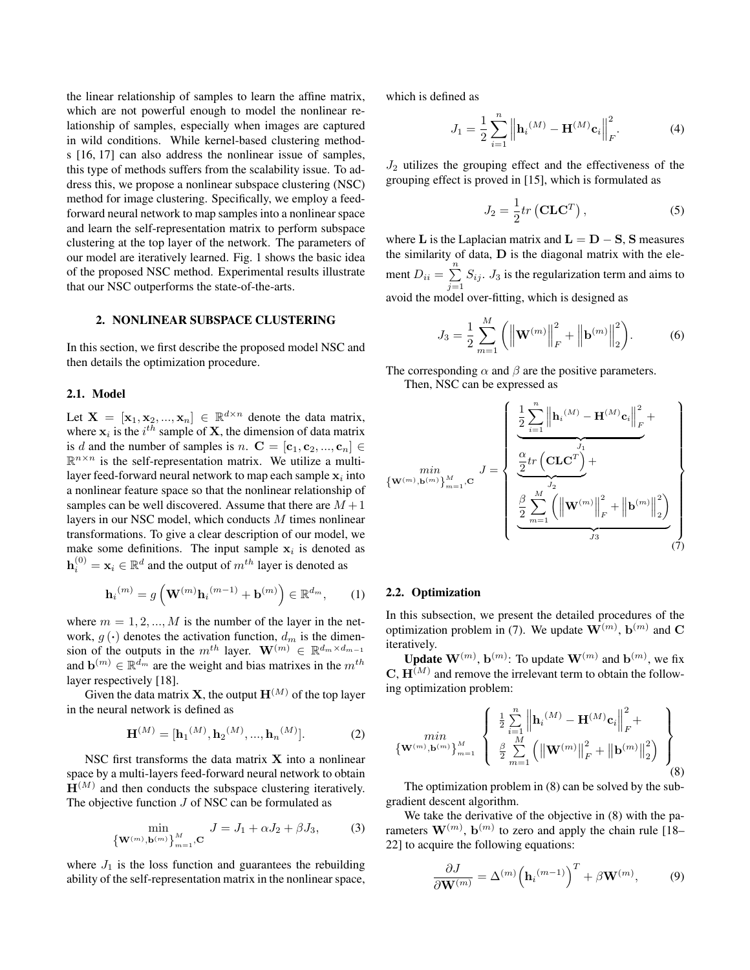the linear relationship of samples to learn the affine matrix, which are not powerful enough to model the nonlinear relationship of samples, especially when images are captured in wild conditions. While kernel-based clustering methods [16, 17] can also address the nonlinear issue of samples, this type of methods suffers from the scalability issue. To address this, we propose a nonlinear subspace clustering (NSC) method for image clustering. Specifically, we employ a feedforward neural network to map samples into a nonlinear space and learn the self-representation matrix to perform subspace clustering at the top layer of the network. The parameters of our model are iteratively learned. Fig. 1 shows the basic idea of the proposed NSC method. Experimental results illustrate that our NSC outperforms the state-of-the-arts.

## 2. NONLINEAR SUBSPACE CLUSTERING

In this section, we first describe the proposed model NSC and then details the optimization procedure.

### 2.1. Model

Let  $X = [\mathbf{x}_1, \mathbf{x}_2, ..., \mathbf{x}_n] \in \mathbb{R}^{d \times n}$  denote the data matrix, where  $x_i$  is the  $i^{th}$  sample of **X**, the dimension of data matrix is d and the number of samples is n.  $C = [\mathbf{c}_1, \mathbf{c}_2, ..., \mathbf{c}_n] \in$  $\mathbb{R}^{n \times n}$  is the self-representation matrix. We utilize a multilayer feed-forward neural network to map each sample  $\mathbf{x}_i$  into a nonlinear feature space so that the nonlinear relationship of samples can be well discovered. Assume that there are  $M + 1$ layers in our NSC model, which conducts M times nonlinear transformations. To give a clear description of our model, we make some definitions. The input sample  $x_i$  is denoted as  $\mathbf{h}_i^{(0)} = \mathbf{x}_i \in \mathbb{R}^d$  and the output of  $m^{th}$  layer is denoted as

$$
\mathbf{h}_{i}^{(m)} = g\left(\mathbf{W}^{(m)}\mathbf{h}_{i}^{(m-1)} + \mathbf{b}^{(m)}\right) \in \mathbb{R}^{d_m},\qquad(1)
$$

where  $m = 1, 2, ..., M$  is the number of the layer in the network,  $q(\cdot)$  denotes the activation function,  $d_m$  is the dimension of the outputs in the  $m^{th}$  layer.  $\mathbf{W}^{(m)} \in \mathbb{R}^{d_m \times d_{m-1}}$ and  $\mathbf{b}^{(m)} \in \mathbb{R}^{\bar{d}_m}$  are the weight and bias matrixes in the  $m^{th}$ layer respectively [18].

Given the data matrix **X**, the output  $\mathbf{H}^{(M)}$  of the top layer in the neural network is defined as

$$
\mathbf{H}^{(M)} = [\mathbf{h}_1^{(M)}, \mathbf{h}_2^{(M)}, ..., \mathbf{h}_n^{(M)}].
$$
 (2)

NSC first transforms the data matrix  $X$  into a nonlinear space by a multi-layers feed-forward neural network to obtain  $H^{(M)}$  and then conducts the subspace clustering iteratively. The objective function  $J$  of NSC can be formulated as

$$
\min_{\{\mathbf{W}^{(m)}, \mathbf{b}^{(m)}\}_{m=1}^{M}}, \mathbf{C} \quad J = J_1 + \alpha J_2 + \beta J_3,\tag{3}
$$

where  $J_1$  is the loss function and guarantees the rebuilding ability of the self-representation matrix in the nonlinear space, which is defined as

$$
J_1 = \frac{1}{2} \sum_{i=1}^{n} \left\| \mathbf{h}_i^{(M)} - \mathbf{H}^{(M)} \mathbf{c}_i \right\|_F^2.
$$
 (4)

 $J_2$  utilizes the grouping effect and the effectiveness of the grouping effect is proved in [15], which is formulated as

$$
J_2 = \frac{1}{2}tr\left(\mathbf{CLC}^T\right),\tag{5}
$$

where L is the Laplacian matrix and  $L = D - S$ , S measures the similarity of data,  **is the diagonal matrix with the ele**ment  $D_{ii} = \sum_{i=1}^{n}$  $\sum_{j=1} S_{ij}$ .  $J_3$  is the regularization term and aims to avoid the model over-fitting, which is designed as

$$
J_3 = \frac{1}{2} \sum_{m=1}^{M} \left( \left\| \mathbf{W}^{(m)} \right\|_{F}^{2} + \left\| \mathbf{b}^{(m)} \right\|_{2}^{2} \right).
$$
 (6)

The corresponding  $\alpha$  and  $\beta$  are the positive parameters. Then, NSC can be expressed as

$$
\{ \mathbf{w}^{(m)}, \mathbf{b}^{(m)} \}_{m=1}^{M}, \mathbf{C} \quad J = \left\{ \begin{array}{l} \frac{1}{2} \sum_{i=1}^{n} \left\| \mathbf{h}_{i}^{(M)} - \mathbf{H}^{(M)} \mathbf{c}_{i} \right\|_{F}^{2} + \\ \frac{2}{2} \mathbf{r} \left( \mathbf{C} \mathbf{L} \mathbf{C}^{T} \right) + \\ \frac{2}{2} \sum_{m=1}^{M} \left( \left\| \mathbf{W}^{(m)} \right\|_{F}^{2} + \left\| \mathbf{b}^{(m)} \right\|_{2}^{2} \right) \\ \frac{2}{3} \sum_{i=1}^{M} \left( \left\| \mathbf{W}^{(m)} \right\|_{F}^{2} + \left\| \mathbf{b}^{(m)} \right\|_{2}^{2} \right) \\ \frac{2}{3} \left( \frac{2}{3} \right) \left( \frac{2}{3} \right) \left( \frac{2}{3} \right) \left( \frac{2}{3} \right) \left( \frac{2}{3} \right) \left( \frac{2}{3} \right) \left( \frac{2}{3} \right) \left( \frac{2}{3} \right) \left( \frac{2}{3} \right) \left( \frac{2}{3} \right) \left( \frac{2}{3} \right) \left( \frac{2}{3} \right) \left( \frac{2}{3} \right) \left( \frac{2}{3} \right) \left( \frac{2}{3} \right) \left( \frac{2}{3} \right) \left( \frac{2}{3} \right) \left( \frac{2}{3} \right) \left( \frac{2}{3} \right) \left( \frac{2}{3} \right) \left( \frac{2}{3} \right) \left( \frac{2}{3} \right) \left( \frac{2}{3} \right) \left( \frac{2}{3} \right) \left( \frac{2}{3} \right) \left( \frac{2}{3} \right) \left( \frac{2}{3} \right) \left( \frac{2}{3} \right) \left( \frac{2}{3} \right) \left( \frac{2}{3} \right) \left( \frac{2}{3} \right) \left( \frac{2}{3} \right) \left( \frac{2}{3} \right) \left( \frac{2}{3} \right) \left( \frac{2
$$

## 2.2. Optimization

In this subsection, we present the detailed procedures of the optimization problem in (7). We update  $\mathbf{W}^{(m)}$ ,  $\mathbf{b}^{(m)}$  and  $\mathbf{C}$ iteratively.

**Update**  $\mathbf{W}^{(m)}$ ,  $\mathbf{b}^{(m)}$ : To update  $\mathbf{W}^{(m)}$  and  $\mathbf{b}^{(m)}$ , we fix  $\mathbf{C}, \mathbf{H}^{(M)}$  and remove the irrelevant term to obtain the following optimization problem:

$$
\begin{array}{c}\n\min \left\{\mathbf{W}^{(m)}, \mathbf{b}^{(m)}\right\}_{m=1}^{M} \left\{\n\begin{array}{l}\n\frac{1}{2} \sum_{i=1}^{n} \left\|\mathbf{h}_{i}^{(M)} - \mathbf{H}^{(M)} \mathbf{c}_{i}\right\|_{F}^{2} + \left\|\mathbf{W}^{(m)}, \mathbf{b}^{(m)}\right\|_{2}^{2}\n\end{array}\n\right\} \\
\left\{\mathbf{W}^{(m)}, \mathbf{b}^{(m)}\right\}_{m=1}^{M} \left(\left\|\mathbf{W}^{(m)}\right\|_{F}^{2} + \left\|\mathbf{b}^{(m)}\right\|_{2}^{2}\right)\n\end{array}\n\right\} \tag{8}
$$

The optimization problem in (8) can be solved by the subgradient descent algorithm.

We take the derivative of the objective in (8) with the parameters  $\mathbf{W}^{(m)}$ ,  $\mathbf{b}^{(m)}$  to zero and apply the chain rule [18– 22] to acquire the following equations:

$$
\frac{\partial J}{\partial \mathbf{W}^{(m)}} = \Delta^{(m)} \Big( \mathbf{h}_i^{(m-1)} \Big)^T + \beta \mathbf{W}^{(m)},\tag{9}
$$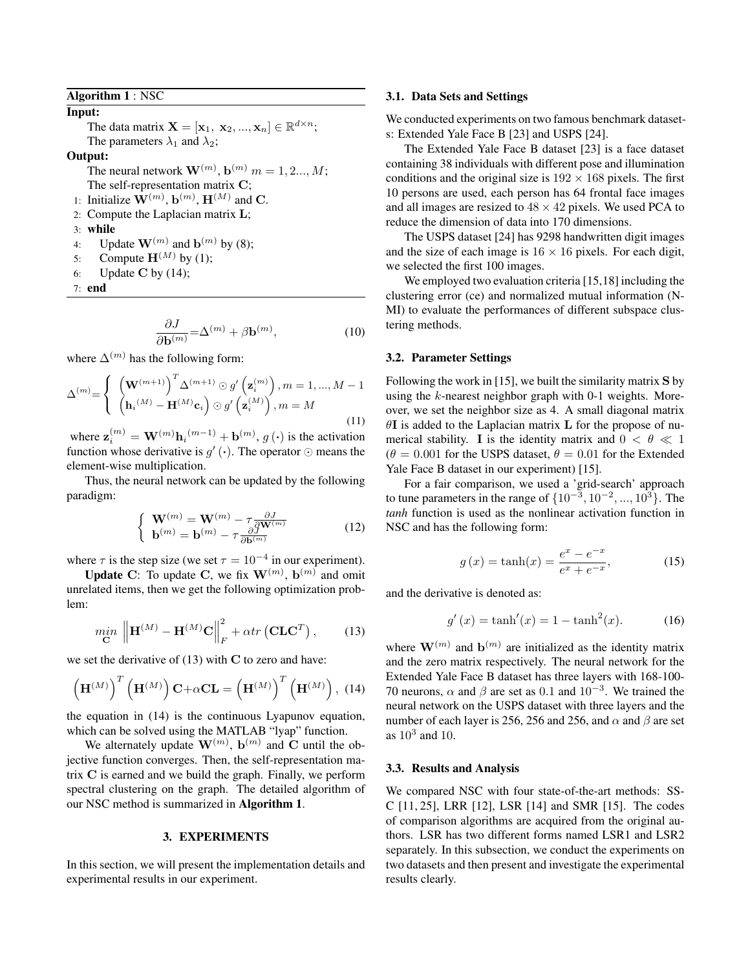## Algorithm 1 : NSC

Input: The data matrix  $\mathbf{X} = [\mathbf{x}_1, \mathbf{x}_2, ..., \mathbf{x}_n] \in \mathbb{R}^{d \times n}$ ; The parameters  $\lambda_1$  and  $\lambda_2$ ;

#### Output:

The neural network  $\mathbf{W}^{(m)}$ ,  $\mathbf{b}^{(m)}$   $m = 1, 2..., M;$ The self-representation matrix C;

- 1: Initialize  $\mathbf{W}^{(m)}$ ,  $\mathbf{b}^{(m)}$ ,  $\mathbf{H}^{(M)}$  and C.
- 2: Compute the Laplacian matrix L;
- 3: while
- 4: Update  $\mathbf{W}^{(m)}$  and  $\mathbf{b}^{(m)}$  by (8);
- 5: Compute  $\mathbf{H}^{(M)}$  by (1);
- 6: Update C by  $(14)$ ;
- 7: end

$$
\frac{\partial J}{\partial \mathbf{b}^{(m)}} = \Delta^{(m)} + \beta \mathbf{b}^{(m)},\tag{10}
$$

where  $\Delta^{(m)}$  has the following form:

$$
\Delta^{(m)} = \begin{cases} \left(\mathbf{W}^{(m+1)}\right)^{T} \Delta^{(m+1)} \odot g' \left(\mathbf{z}_{i}^{(m)}\right), m = 1, ..., M - 1\\ \left(\mathbf{h}_{i}^{(M)} - \mathbf{H}^{(M)} \mathbf{c}_{i}\right) \odot g' \left(\mathbf{z}_{i}^{(M)}\right), m = M \end{cases}
$$
\n(11)

where  $\mathbf{z}_{i}^{(m)} = \mathbf{W}^{(m)} \mathbf{h}_{i}^{(m-1)} + \mathbf{b}^{(m)}, g(\cdot)$  is the activation function whose derivative is  $g'(\cdot)$ . The operator  $\odot$  means the element-wise multiplication.

Thus, the neural network can be updated by the following paradigm:

$$
\begin{cases} \mathbf{W}^{(m)} = \mathbf{W}^{(m)} - \tau \frac{\partial J}{\partial \mathbf{W}^{(m)}}\\ \mathbf{b}^{(m)} = \mathbf{b}^{(m)} - \tau \frac{\partial J}{\partial \mathbf{b}^{(m)}} \end{cases}
$$
(12)

where  $\tau$  is the step size (we set  $\tau = 10^{-4}$  in our experiment).

**Update C:** To update C, we fix  $\mathbf{W}^{(m)}$ ,  $\mathbf{b}^{(m)}$  and omit unrelated items, then we get the following optimization problem:

$$
\min_{\mathbf{C}} \left\| \mathbf{H}^{(M)} - \mathbf{H}^{(M)} \mathbf{C} \right\|_{F}^{2} + \alpha tr\left(\mathbf{CLC}^{T}\right),\tag{13}
$$

we set the derivative of  $(13)$  with C to zero and have:

$$
\left(\mathbf{H}^{(M)}\right)^{T}\left(\mathbf{H}^{(M)}\right)\mathbf{C}+\alpha\mathbf{CL}=\left(\mathbf{H}^{(M)}\right)^{T}\left(\mathbf{H}^{(M)}\right), (14)
$$

the equation in (14) is the continuous Lyapunov equation, which can be solved using the MATLAB "lyap" function.

We alternately update  $\mathbf{W}^{(m)}$ ,  $\mathbf{b}^{(m)}$  and C until the objective function converges. Then, the self-representation matrix C is earned and we build the graph. Finally, we perform spectral clustering on the graph. The detailed algorithm of our NSC method is summarized in Algorithm 1.

### 3. EXPERIMENTS

In this section, we will present the implementation details and experimental results in our experiment.

#### 3.1. Data Sets and Settings

We conducted experiments on two famous benchmark datasets: Extended Yale Face B [23] and USPS [24].

The Extended Yale Face B dataset [23] is a face dataset containing 38 individuals with different pose and illumination conditions and the original size is  $192 \times 168$  pixels. The first 10 persons are used, each person has 64 frontal face images and all images are resized to  $48 \times 42$  pixels. We used PCA to reduce the dimension of data into 170 dimensions.

The USPS dataset [24] has 9298 handwritten digit images and the size of each image is  $16 \times 16$  pixels. For each digit, we selected the first 100 images.

We employed two evaluation criteria [15,18] including the clustering error (ce) and normalized mutual information (N-MI) to evaluate the performances of different subspace clustering methods.

## 3.2. Parameter Settings

Following the work in [15], we built the similarity matrix  $S$  by using the  $k$ -nearest neighbor graph with 0-1 weights. Moreover, we set the neighbor size as 4. A small diagonal matrix  $\theta$ I is added to the Laplacian matrix L for the propose of numerical stability. I is the identity matrix and  $0 < \theta \ll 1$  $(\theta = 0.001$  for the USPS dataset,  $\theta = 0.01$  for the Extended Yale Face B dataset in our experiment) [15].

For a fair comparison, we used a 'grid-search' approach to tune parameters in the range of  $\{10^{-3}, 10^{-2}, ..., 10^{3}\}$ . The *tanh* function is used as the nonlinear activation function in NSC and has the following form:

$$
g(x) = \tanh(x) = \frac{e^x - e^{-x}}{e^x + e^{-x}},
$$
 (15)

and the derivative is denoted as:

$$
g'(x) = \tanh'(x) = 1 - \tanh^2(x). \tag{16}
$$

where  $\mathbf{W}^{(m)}$  and  $\mathbf{b}^{(m)}$  are initialized as the identity matrix and the zero matrix respectively. The neural network for the Extended Yale Face B dataset has three layers with 168-100- 70 neurons,  $\alpha$  and  $\beta$  are set as 0.1 and  $10^{-3}$ . We trained the neural network on the USPS dataset with three layers and the number of each layer is 256, 256 and 256, and  $\alpha$  and  $\beta$  are set as  $10^3$  and 10.

### 3.3. Results and Analysis

We compared NSC with four state-of-the-art methods: SS-C [11, 25], LRR [12], LSR [14] and SMR [15]. The codes of comparison algorithms are acquired from the original authors. LSR has two different forms named LSR1 and LSR2 separately. In this subsection, we conduct the experiments on two datasets and then present and investigate the experimental results clearly.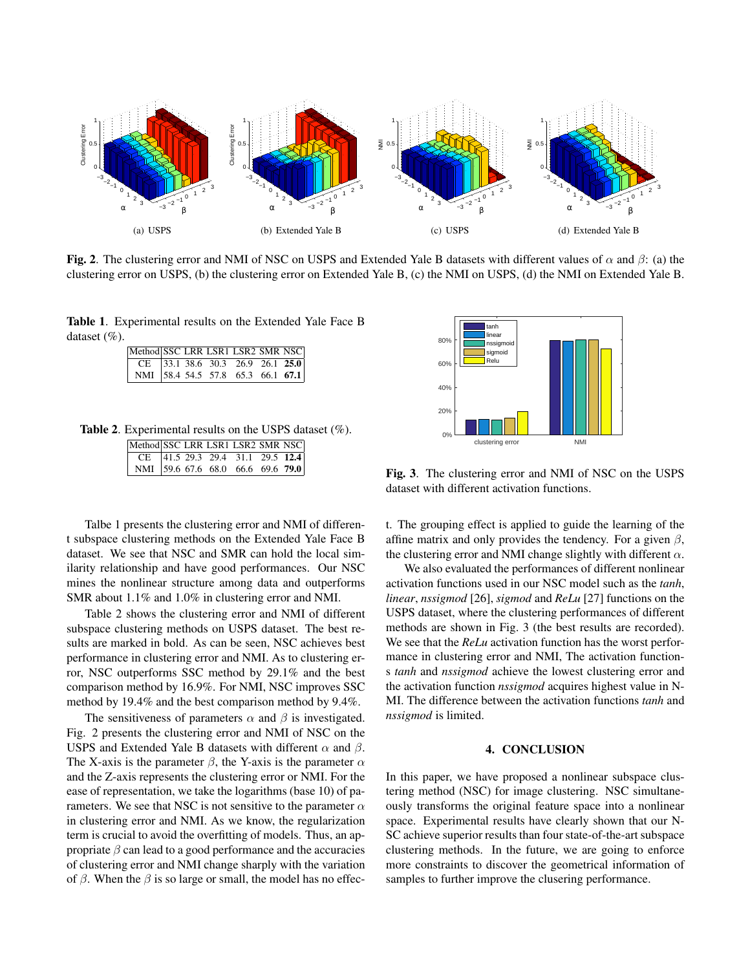

Fig. 2. The clustering error and NMI of NSC on USPS and Extended Yale B datasets with different values of  $\alpha$  and  $\beta$ : (a) the clustering error on USPS, (b) the clustering error on Extended Yale B, (c) the NMI on USPS, (d) the NMI on Extended Yale B.

Table 1. Experimental results on the Extended Yale Face B dataset (%).

|                                          |  |  | Method SSC LRR LSR1 LSR2 SMR NSC         |  |
|------------------------------------------|--|--|------------------------------------------|--|
| $\vert$ CE 33.1 38.6 30.3 26.9 26.1 25.0 |  |  |                                          |  |
|                                          |  |  | NMI 58.4 54.5 57.8 65.3 66.1 <b>67.1</b> |  |

Table 2. Experimental results on the USPS dataset (%).

| Method SSC LRR LSR1 LSR2 SMR NSC  |  |  |  |
|-----------------------------------|--|--|--|
| CE 41.5 29.3 29.4 31.1 29.5 12.4  |  |  |  |
| NMI 59.6 67.6 68.0 66.6 69.6 79.0 |  |  |  |

Talbe 1 presents the clustering error and NMI of different subspace clustering methods on the Extended Yale Face B dataset. We see that NSC and SMR can hold the local similarity relationship and have good performances. Our NSC mines the nonlinear structure among data and outperforms SMR about 1.1% and 1.0% in clustering error and NMI.

Table 2 shows the clustering error and NMI of different subspace clustering methods on USPS dataset. The best results are marked in bold. As can be seen, NSC achieves best performance in clustering error and NMI. As to clustering error, NSC outperforms SSC method by 29.1% and the best comparison method by 16.9%. For NMI, NSC improves SSC method by 19.4% and the best comparison method by 9.4%.

The sensitiveness of parameters  $\alpha$  and  $\beta$  is investigated. Fig. 2 presents the clustering error and NMI of NSC on the USPS and Extended Yale B datasets with different  $\alpha$  and  $\beta$ . The X-axis is the parameter  $\beta$ , the Y-axis is the parameter  $\alpha$ and the Z-axis represents the clustering error or NMI. For the ease of representation, we take the logarithms (base 10) of parameters. We see that NSC is not sensitive to the parameter  $\alpha$ in clustering error and NMI. As we know, the regularization term is crucial to avoid the overfitting of models. Thus, an appropriate  $\beta$  can lead to a good performance and the accuracies of clustering error and NMI change sharply with the variation of  $\beta$ . When the  $\beta$  is so large or small, the model has no effec-



Fig. 3. The clustering error and NMI of NSC on the USPS dataset with different activation functions.

t. The grouping effect is applied to guide the learning of the affine matrix and only provides the tendency. For a given  $\beta$ , the clustering error and NMI change slightly with different  $\alpha$ .

We also evaluated the performances of different nonlinear activation functions used in our NSC model such as the *tanh*, *linear*, *nssigmod* [26], *sigmod* and *ReLu* [27] functions on the USPS dataset, where the clustering performances of different methods are shown in Fig. 3 (the best results are recorded). We see that the *ReLu* activation function has the worst performance in clustering error and NMI, The activation functions *tanh* and *nssigmod* achieve the lowest clustering error and the activation function *nssigmod* acquires highest value in N-MI. The difference between the activation functions *tanh* and *nssigmod* is limited.

# 4. CONCLUSION

In this paper, we have proposed a nonlinear subspace clustering method (NSC) for image clustering. NSC simultaneously transforms the original feature space into a nonlinear space. Experimental results have clearly shown that our N-SC achieve superior results than four state-of-the-art subspace clustering methods. In the future, we are going to enforce more constraints to discover the geometrical information of samples to further improve the clusering performance.